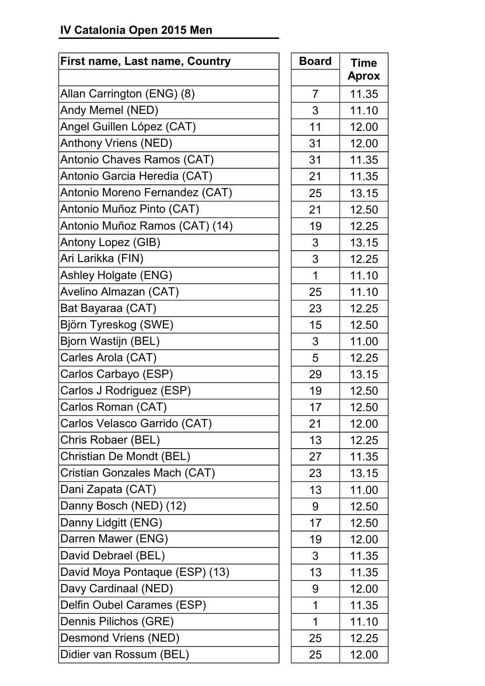## **IV Catalonia Open 2015 Men**

| <b>First name, Last name, Country</b> | <b>Board</b>   | <b>Time</b>  |
|---------------------------------------|----------------|--------------|
|                                       |                | <b>Aprox</b> |
| Allan Carrington (ENG) (8)            | $\overline{7}$ | 11.35        |
| Andy Memel (NED)                      | 3              | 11.10        |
| Angel Guillen López (CAT)             | 11             | 12.00        |
| <b>Anthony Vriens (NED)</b>           | 31             | 12.00        |
| Antonio Chaves Ramos (CAT)            | 31             | 11.35        |
| Antonio Garcia Heredia (CAT)          | 21             | 11.35        |
| Antonio Moreno Fernandez (CAT)        | 25             | 13.15        |
| Antonio Muñoz Pinto (CAT)             | 21             | 12.50        |
| Antonio Muñoz Ramos (CAT) (14)        | 19             | 12.25        |
| Antony Lopez (GIB)                    | 3              | 13.15        |
| Ari Larikka (FIN)                     | 3              | 12.25        |
| <b>Ashley Holgate (ENG)</b>           | 1              | 11.10        |
| Avelino Almazan (CAT)                 | 25             | 11.10        |
| Bat Bayaraa (CAT)                     | 23             | 12.25        |
| Björn Tyreskog (SWE)                  | 15             | 12.50        |
| Bjorn Wastijn (BEL)                   | 3              | 11.00        |
| Carles Arola (CAT)                    | 5              | 12.25        |
| Carlos Carbayo (ESP)                  | 29             | 13.15        |
| Carlos J Rodriguez (ESP)              | 19             | 12.50        |
| Carlos Roman (CAT)                    | 17             | 12.50        |
| Carlos Velasco Garrido (CAT)          | 21             | 12.00        |
| Chris Robaer (BEL)                    | 13             | 12.25        |
| Christian De Mondt (BEL)              | 27             | 11.35        |
| <b>Cristian Gonzales Mach (CAT)</b>   | 23             | 13.15        |
| Dani Zapata (CAT)                     | 13             | 11.00        |
| Danny Bosch (NED) (12)                | 9              | 12.50        |
| Danny Lidgitt (ENG)                   | 17             | 12.50        |
| Darren Mawer (ENG)                    | 19             | 12.00        |
| David Debrael (BEL)                   | 3              | 11.35        |
| David Moya Pontaque (ESP) (13)        | 13             | 11.35        |
| Davy Cardinaal (NED)                  | 9              | 12.00        |
| Delfin Oubel Carames (ESP)            | 1              | 11.35        |
| Dennis Pilichos (GRE)                 | 1              | 11.10        |
| Desmond Vriens (NED)                  | 25             | 12.25        |
| Didier van Rossum (BEL)               | 25             | 12.00        |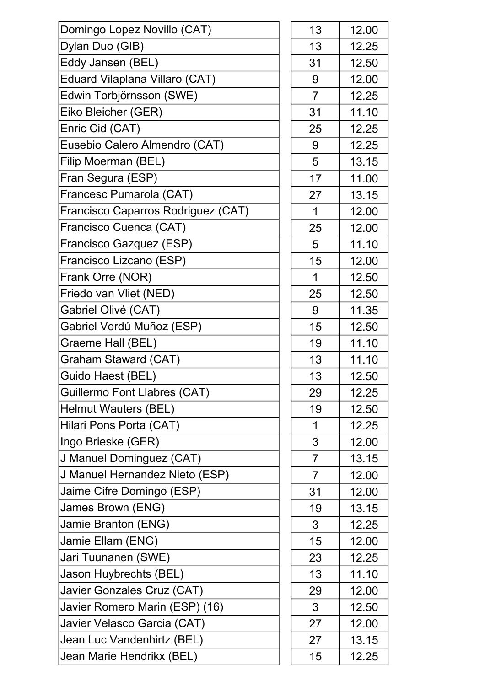| Domingo Lopez Novillo (CAT)         | 13             | 12.00 |
|-------------------------------------|----------------|-------|
| Dylan Duo (GIB)                     | 13             | 12.25 |
| Eddy Jansen (BEL)                   | 31             | 12.50 |
| Eduard Vilaplana Villaro (CAT)      | 9              | 12.00 |
| Edwin Torbjörnsson (SWE)            | $\overline{7}$ | 12.25 |
| Eiko Bleicher (GER)                 | 31             | 11.10 |
| Enric Cid (CAT)                     | 25             | 12.25 |
| Eusebio Calero Almendro (CAT)       | 9              | 12.25 |
| Filip Moerman (BEL)                 | 5              | 13.15 |
| Fran Segura (ESP)                   | 17             | 11.00 |
| Francesc Pumarola (CAT)             | 27             | 13.15 |
| Francisco Caparros Rodriguez (CAT)  | 1              | 12.00 |
| Francisco Cuenca (CAT)              | 25             | 12.00 |
| Francisco Gazquez (ESP)             | 5              | 11.10 |
| Francisco Lizcano (ESP)             | 15             | 12.00 |
| Frank Orre (NOR)                    | 1              | 12.50 |
| Friedo van Vliet (NED)              | 25             | 12.50 |
| Gabriel Olivé (CAT)                 | 9              | 11.35 |
| Gabriel Verdú Muñoz (ESP)           | 15             | 12.50 |
| Graeme Hall (BEL)                   | 19             | 11.10 |
| Graham Staward (CAT)                | 13             | 11.10 |
| Guido Haest (BEL)                   | 13             | 12.50 |
| <b>Guillermo Font Llabres (CAT)</b> | 29             | 12.25 |
| <b>Helmut Wauters (BEL)</b>         | 19             | 12.50 |
| Hilari Pons Porta (CAT)             | 1              | 12.25 |
| Ingo Brieske (GER)                  | 3              | 12.00 |
| J Manuel Dominguez (CAT)            | $\overline{7}$ | 13.15 |
| J Manuel Hernandez Nieto (ESP)      | $\overline{7}$ | 12.00 |
| Jaime Cifre Domingo (ESP)           | 31             | 12.00 |
| James Brown (ENG)                   | 19             | 13.15 |
| Jamie Branton (ENG)                 | 3              | 12.25 |
| Jamie Ellam (ENG)                   | 15             | 12.00 |
| Jari Tuunanen (SWE)                 | 23             | 12.25 |
| Jason Huybrechts (BEL)              | 13             | 11.10 |
| Javier Gonzales Cruz (CAT)          | 29             | 12.00 |
| Javier Romero Marin (ESP) (16)      | 3              | 12.50 |
| Javier Velasco Garcia (CAT)         | 27             | 12.00 |
| Jean Luc Vandenhirtz (BEL)          | 27             | 13.15 |
| Jean Marie Hendrikx (BEL)           | 15             | 12.25 |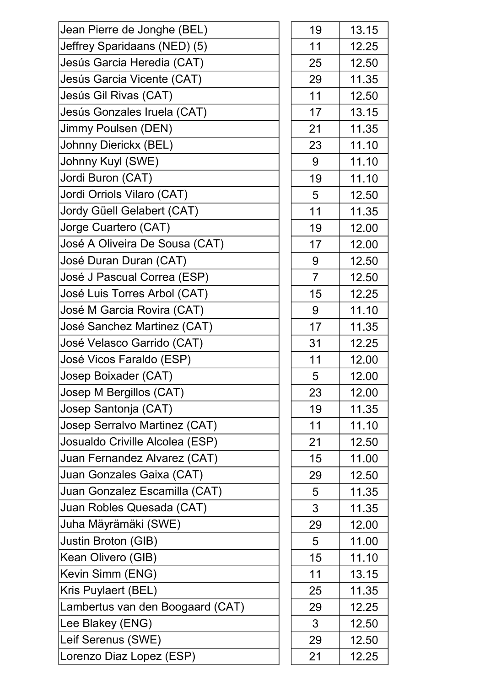| Jean Pierre de Jonghe (BEL)      | 19             | 13.15 |
|----------------------------------|----------------|-------|
| Jeffrey Sparidaans (NED) (5)     | 11             | 12.25 |
| Jesús Garcia Heredia (CAT)       | 25             | 12.50 |
| Jesús Garcia Vicente (CAT)       | 29             | 11.35 |
| Jesús Gil Rivas (CAT)            | 11             | 12.50 |
| Jesús Gonzales Iruela (CAT)      | 17             | 13.15 |
| Jimmy Poulsen (DEN)              | 21             | 11.35 |
| Johnny Dierickx (BEL)            | 23             | 11.10 |
| Johnny Kuyl (SWE)                | 9              | 11.10 |
| Jordi Buron (CAT)                | 19             | 11.10 |
| Jordi Orriols Vilaro (CAT)       | 5              | 12.50 |
| Jordy Güell Gelabert (CAT)       | 11             | 11.35 |
| Jorge Cuartero (CAT)             | 19             | 12.00 |
| José A Oliveira De Sousa (CAT)   | 17             | 12.00 |
| José Duran Duran (CAT)           | 9              | 12.50 |
| José J Pascual Correa (ESP)      | $\overline{7}$ | 12.50 |
| José Luis Torres Arbol (CAT)     | 15             | 12.25 |
| José M Garcia Rovira (CAT)       | 9              | 11.10 |
| José Sanchez Martinez (CAT)      | 17             | 11.35 |
| José Velasco Garrido (CAT)       | 31             | 12.25 |
| José Vicos Faraldo (ESP)         | 11             | 12.00 |
| Josep Boixader (CAT)             | 5              | 12.00 |
| Josep M Bergillos (CAT)          | 23             | 12.00 |
| Josep Santonja (CAT)             | 19             | 11.35 |
| Josep Serralvo Martinez (CAT)    | 11             | 11.10 |
| Josualdo Criville Alcolea (ESP)  | 21             | 12.50 |
| Juan Fernandez Alvarez (CAT)     | 15             | 11.00 |
| Juan Gonzales Gaixa (CAT)        | 29             | 12.50 |
| Juan Gonzalez Escamilla (CAT)    | 5              | 11.35 |
| Juan Robles Quesada (CAT)        | 3              | 11.35 |
| Juha Mäyrämäki (SWE)             | 29             | 12.00 |
| Justin Broton (GIB)              | 5              | 11.00 |
| Kean Olivero (GIB)               | 15             | 11.10 |
| Kevin Simm (ENG)                 | 11             | 13.15 |
| Kris Puylaert (BEL)              | 25             | 11.35 |
| Lambertus van den Boogaard (CAT) | 29             | 12.25 |
| Lee Blakey (ENG)                 | 3              | 12.50 |
| Leif Serenus (SWE)               | 29             | 12.50 |
| Lorenzo Diaz Lopez (ESP)         | 21             | 12.25 |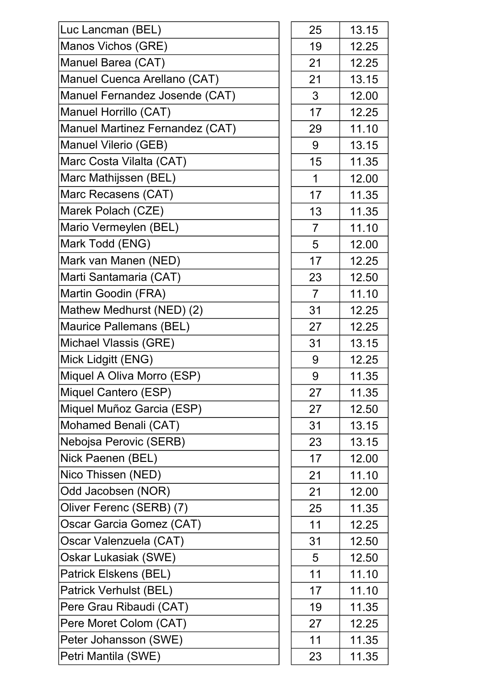| Luc Lancman (BEL)               | 25             | 13.15 |
|---------------------------------|----------------|-------|
| Manos Vichos (GRE)              | 19             | 12.25 |
| Manuel Barea (CAT)              | 21             | 12.25 |
| Manuel Cuenca Arellano (CAT)    | 21             | 13.15 |
| Manuel Fernandez Josende (CAT)  | 3              | 12.00 |
| Manuel Horrillo (CAT)           | 17             | 12.25 |
| Manuel Martinez Fernandez (CAT) | 29             | 11.10 |
| <b>Manuel Vilerio (GEB)</b>     | 9              | 13.15 |
| Marc Costa Vilalta (CAT)        | 15             | 11.35 |
| Marc Mathijssen (BEL)           | $\mathbf 1$    | 12.00 |
| Marc Recasens (CAT)             | 17             | 11.35 |
| Marek Polach (CZE)              | 13             | 11.35 |
| Mario Vermeylen (BEL)           | $\overline{7}$ | 11.10 |
| Mark Todd (ENG)                 | 5              | 12.00 |
| Mark van Manen (NED)            | 17             | 12.25 |
| Marti Santamaria (CAT)          | 23             | 12.50 |
| Martin Goodin (FRA)             | $\overline{7}$ | 11.10 |
| Mathew Medhurst (NED) (2)       | 31             | 12.25 |
| Maurice Pallemans (BEL)         | 27             | 12.25 |
| Michael Vlassis (GRE)           | 31             | 13.15 |
| Mick Lidgitt (ENG)              | 9              | 12.25 |
| Miquel A Oliva Morro (ESP)      | 9              | 11.35 |
| Miquel Cantero (ESP)            | 27             | 11.35 |
| Miquel Muñoz Garcia (ESP)       | 27             | 12.50 |
| Mohamed Benali (CAT)            | 31             | 13.15 |
| Nebojsa Perovic (SERB)          | 23             | 13.15 |
| Nick Paenen (BEL)               | 17             | 12.00 |
| Nico Thissen (NED)              | 21             | 11.10 |
| Odd Jacobsen (NOR)              | 21             | 12.00 |
| Oliver Ferenc (SERB) (7)        | 25             | 11.35 |
| Oscar Garcia Gomez (CAT)        | 11             | 12.25 |
| Oscar Valenzuela (CAT)          | 31             | 12.50 |
| Oskar Lukasiak (SWE)            | 5              | 12.50 |
| Patrick Elskens (BEL)           | 11             | 11.10 |
| Patrick Verhulst (BEL)          | 17             | 11.10 |
| Pere Grau Ribaudi (CAT)         | 19             | 11.35 |
| Pere Moret Colom (CAT)          | 27             | 12.25 |
| Peter Johansson (SWE)           | 11             | 11.35 |
| Petri Mantila (SWE)             | 23             | 11.35 |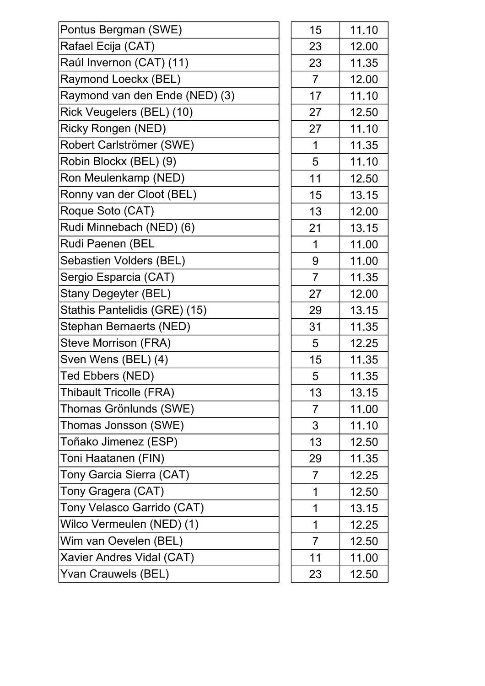| Pontus Bergman (SWE)           | 15             | 11.10 |
|--------------------------------|----------------|-------|
| Rafael Ecija (CAT)             | 23             | 12.00 |
| Raúl Invernon (CAT) (11)       | 23             | 11.35 |
| Raymond Loeckx (BEL)           | $\overline{7}$ | 12.00 |
| Raymond van den Ende (NED) (3) | 17             | 11.10 |
| Rick Veugelers (BEL) (10)      | 27             | 12.50 |
| <b>Ricky Rongen (NED)</b>      | 27             | 11.10 |
| Robert Carlströmer (SWE)       | 1              | 11.35 |
| Robin Blockx (BEL) (9)         | 5              | 11.10 |
| Ron Meulenkamp (NED)           | 11             | 12.50 |
| Ronny van der Cloot (BEL)      | 15             | 13.15 |
| Roque Soto (CAT)               | 13             | 12.00 |
| Rudi Minnebach (NED) (6)       | 21             | 13.15 |
| Rudi Paenen (BEL               | $\mathbf 1$    | 11.00 |
| Sebastien Volders (BEL)        | 9              | 11.00 |
| Sergio Esparcia (CAT)          | $\overline{7}$ | 11.35 |
| Stany Degeyter (BEL)           | 27             | 12.00 |
| Stathis Pantelidis (GRE) (15)  | 29             | 13.15 |
| Stephan Bernaerts (NED)        | 31             | 11.35 |
| <b>Steve Morrison (FRA)</b>    | 5              | 12.25 |
| Sven Wens (BEL) (4)            | 15             | 11.35 |
| Ted Ebbers (NED)               | 5              | 11.35 |
| <b>Thibault Tricolle (FRA)</b> | 13             | 13.15 |
| Thomas Grönlunds (SWE)         | $\overline{7}$ | 11.00 |
| Thomas Jonsson (SWE)           | 3              | 11.10 |
| Toñako Jimenez (ESP)           | 13             | 12.50 |
| Toni Haatanen (FIN)            | 29             | 11.35 |
| Tony Garcia Sierra (CAT)       | $\overline{7}$ | 12.25 |
| Tony Gragera (CAT)             | 1              | 12.50 |
| Tony Velasco Garrido (CAT)     | 1              | 13.15 |
| Wilco Vermeulen (NED) (1)      | 1              | 12.25 |
| Wim van Oevelen (BEL)          | $\overline{7}$ | 12.50 |
| Xavier Andres Vidal (CAT)      | 11             | 11.00 |
| Yvan Crauwels (BEL)            | 23             | 12.50 |